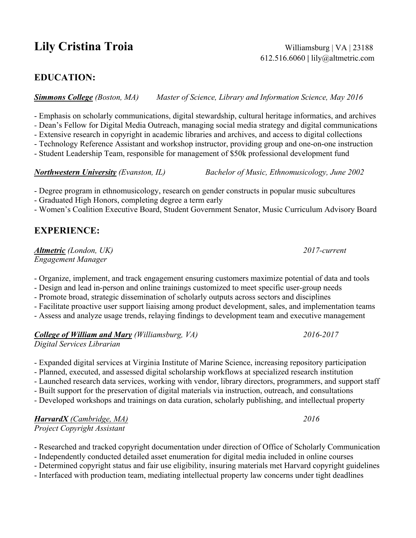# **Lily Cristina Troia** Williamsburg | VA | 23188

612.516.6060 **|** lily@altmetric.com

#### **EDUCATION:**

*Simmons College (Boston, MA) Master of Science, Library and Information Science, May 2016*

- Emphasis on scholarly communications, digital stewardship, cultural heritage informatics, and archives

*-* Dean's Fellow for Digital Media Outreach, managing social media strategy and digital communications

- Extensive research in copyright in academic libraries and archives, and access to digital collections

- Technology Reference Assistant and workshop instructor, providing group and one-on-one instruction

- Student Leadership Team, responsible for management of \$50k professional development fund

*Northwestern University (Evanston, IL) Bachelor of Music, Ethnomusicology, June 2002*

- Degree program in ethnomusicology, research on gender constructs in popular music subcultures

- Graduated High Honors, completing degree a term early

- Women's Coalition Executive Board, Student Government Senator, Music Curriculum Advisory Board

## **EXPERIENCE:**

*Altmetric (London, UK) 2017-current Engagement Manager*

- Organize, implement, and track engagement ensuring customers maximize potential of data and tools

- Design and lead in-person and online trainings customized to meet specific user-group needs

- Promote broad, strategic dissemination of scholarly outputs across sectors and disciplines

- Facilitate proactive user support liaising among product development, sales, and implementation teams

- Assess and analyze usage trends, relaying findings to development team and executive management

*College of William and Mary (Williamsburg, VA) 2016-2017*

*Digital Services Librarian*

- Expanded digital services at Virginia Institute of Marine Science, increasing repository participation

- Planned, executed, and assessed digital scholarship workflows at specialized research institution

- Launched research data services, working with vendor, library directors, programmers, and support staff

- Built support for the preservation of digital materials via instruction, outreach, and consultations

- Developed workshops and trainings on data curation, scholarly publishing, and intellectual property

*HarvardX (Cambridge, MA) 2016 Project Copyright Assistant*

- Researched and tracked copyright documentation under direction of Office of Scholarly Communication

- Independently conducted detailed asset enumeration for digital media included in online courses

- Determined copyright status and fair use eligibility, insuring materials met Harvard copyright guidelines

- Interfaced with production team, mediating intellectual property law concerns under tight deadlines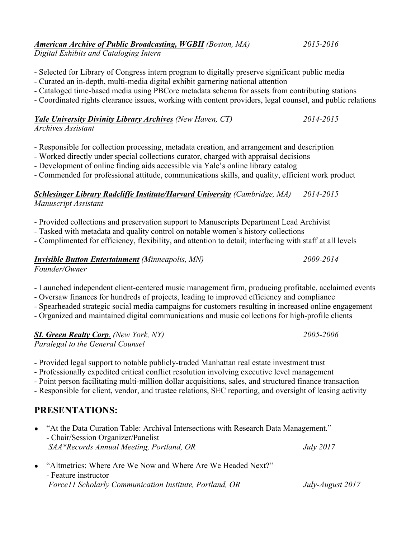## *American Archive of Public Broadcasting, WGBH (Boston, MA) 2015-2016*

*Digital Exhibits and Cataloging Intern*

- Selected for Library of Congress intern program to digitally preserve significant public media
- Curated an in-depth, multi-media digital exhibit garnering national attention
- Cataloged time-based media using PBCore metadata schema for assets from contributing stations
- Coordinated rights clearance issues, working with content providers, legal counsel, and public relations

#### *Yale University Divinity Library Archives (New Haven, CT) 2014-2015 Archives Assistant*

- Responsible for collection processing, metadata creation, and arrangement and description
- Worked directly under special collections curator, charged with appraisal decisions
- Development of online finding aids accessible via Yale's online library catalog
- Commended for professional attitude, communications skills, and quality, efficient work product

#### *Schlesinger Library Radcliffe Institute/Harvard University (Cambridge, MA) 2014-2015 Manuscript Assistant*

- Provided collections and preservation support to Manuscripts Department Lead Archivist
- Tasked with metadata and quality control on notable women's history collections
- Complimented for efficiency, flexibility, and attention to detail; interfacing with staff at all levels

#### *Invisible Button Entertainment (Minneapolis, MN) 2009-2014 Founder/Owner*

- Launched independent client-centered music management firm, producing profitable, acclaimed events
- Oversaw finances for hundreds of projects, leading to improved efficiency and compliance
- Spearheaded strategic social media campaigns for customers resulting in increased online engagement
- Organized and maintained digital communications and music collections for high-profile clients

*SL Green Realty Corp. (New York, NY) 2005-2006 Paralegal to the General Counsel*

- Provided legal support to notable publicly-traded Manhattan real estate investment trust

- Professionally expedited critical conflict resolution involving executive level management
- Point person facilitating multi-million dollar acquisitions, sales, and structured finance transaction
- Responsible for client, vendor, and trustee relations, SEC reporting, and oversight of leasing activity

## **PRESENTATIONS:**

- "At the Data Curation Table: Archival Intersections with Research Data Management." - Chair/Session Organizer/Panelist *SAA\*Records Annual Meeting, Portland, OR July 2017*
- "Altmetrics: Where Are We Now and Where Are We Headed Next?" - Feature instructor *Force11 Scholarly Communication Institute, Portland, OR July-August 2017*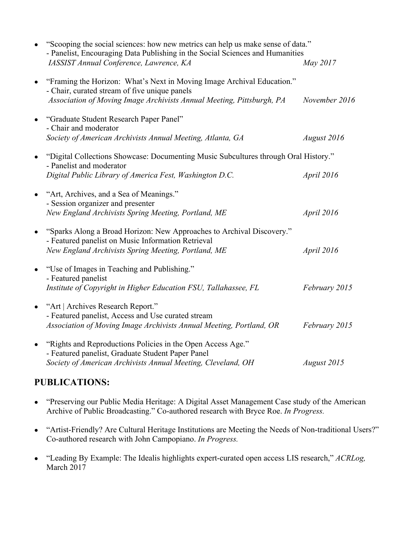|           | "Scooping the social sciences: how new metrics can help us make sense of data."<br>- Panelist, Encouraging Data Publishing in the Social Sciences and Humanities                                 |               |
|-----------|--------------------------------------------------------------------------------------------------------------------------------------------------------------------------------------------------|---------------|
|           | IASSIST Annual Conference, Lawrence, KA                                                                                                                                                          | May 2017      |
|           | "Framing the Horizon: What's Next in Moving Image Archival Education."<br>- Chair, curated stream of five unique panels<br>Association of Moving Image Archivists Annual Meeting, Pittsburgh, PA | November 2016 |
| $\bullet$ | "Graduate Student Research Paper Panel"<br>- Chair and moderator<br>Society of American Archivists Annual Meeting, Atlanta, GA                                                                   | August 2016   |
| $\bullet$ | "Digital Collections Showcase: Documenting Music Subcultures through Oral History."<br>- Panelist and moderator<br>Digital Public Library of America Fest, Washington D.C.                       | April 2016    |
| $\bullet$ | "Art, Archives, and a Sea of Meanings."<br>- Session organizer and presenter<br>New England Archivists Spring Meeting, Portland, ME                                                              | April 2016    |
| $\bullet$ | "Sparks Along a Broad Horizon: New Approaches to Archival Discovery."<br>- Featured panelist on Music Information Retrieval<br>New England Archivists Spring Meeting, Portland, ME               | April 2016    |
| $\bullet$ | "Use of Images in Teaching and Publishing."<br>- Featured panelist<br>Institute of Copyright in Higher Education FSU, Tallahassee, FL                                                            | February 2015 |
| $\bullet$ | "Art   Archives Research Report."<br>- Featured panelist, Access and Use curated stream<br>Association of Moving Image Archivists Annual Meeting, Portland, OR                                   | February 2015 |
| $\bullet$ | "Rights and Reproductions Policies in the Open Access Age."<br>- Featured panelist, Graduate Student Paper Panel<br>Society of American Archivists Annual Meeting, Cleveland, OH                 | August 2015   |

## **PUBLICATIONS:**

- "Preserving our Public Media Heritage: A Digital Asset Management Case study of the American Archive of Public Broadcasting." Co-authored research with Bryce Roe. *In Progress.*
- "Artist-Friendly? Are Cultural Heritage Institutions are Meeting the Needs of Non-traditional Users?" Co-authored research with John Campopiano. *In Progress.*
- "Leading By Example: The Idealis highlights expert-curated open access LIS research," *ACRLog,*  March 2017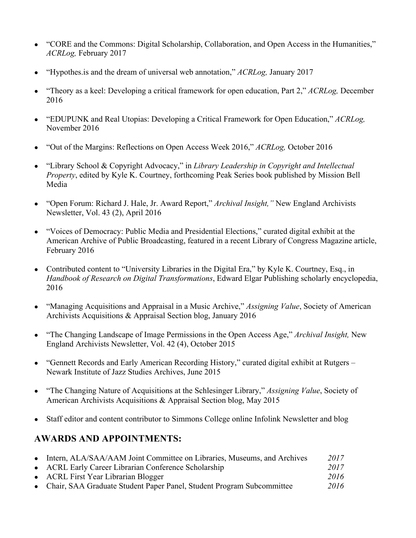- "CORE and the Commons: Digital Scholarship, Collaboration, and Open Access in the Humanities," *ACRLog,* February 2017
- "Hypothes.is and the dream of universal web annotation," *ACRLog,* January 2017
- "Theory as a keel: Developing a critical framework for open education, Part 2," *ACRLog,* December 2016
- "EDUPUNK and Real Utopias: Developing a Critical Framework for Open Education," *ACRLog,*  November 2016
- "Out of the Margins: Reflections on Open Access Week 2016," *ACRLog,* October 2016
- "Library School & Copyright Advocacy," in *Library Leadership in Copyright and Intellectual Property*, edited by Kyle K. Courtney, forthcoming Peak Series book published by Mission Bell Media
- "Open Forum: Richard J. Hale, Jr. Award Report," *Archival Insight,"* New England Archivists Newsletter, Vol. 43 (2), April 2016
- "Voices of Democracy: Public Media and Presidential Elections," curated digital exhibit at the American Archive of Public Broadcasting, featured in a recent Library of Congress Magazine article, February 2016
- Contributed content to "University Libraries in the Digital Era," by Kyle K. Courtney, Esq., in *Handbook of Research on Digital Transformations*, Edward Elgar Publishing scholarly encyclopedia, 2016
- "Managing Acquisitions and Appraisal in a Music Archive," *Assigning Value*, Society of American Archivists Acquisitions & Appraisal Section blog, January 2016
- "The Changing Landscape of Image Permissions in the Open Access Age," *Archival Insight,* New England Archivists Newsletter, Vol. 42 (4), October 2015
- "Gennett Records and Early American Recording History," curated digital exhibit at Rutgers Newark Institute of Jazz Studies Archives, June 2015
- "The Changing Nature of Acquisitions at the Schlesinger Library," *Assigning Value*, Society of American Archivists Acquisitions & Appraisal Section blog, May 2015
- Staff editor and content contributor to Simmons College online Infolink Newsletter and blog

## **AWARDS AND APPOINTMENTS:**

• Intern, ALA/SAA/AAM Joint Committee on Libraries, Museums, and Archives 2017 ● ACRL Early Career Librarian Conference Scholarship *2017* ● ACRL First Year Librarian Blogger *2016* ● Chair, SAA Graduate Student Paper Panel, Student Program Subcommittee *2016*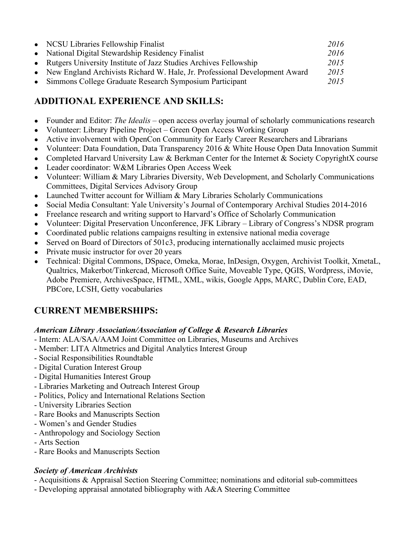| • NCSU Libraries Fellowship Finalist                                         | 2016 |
|------------------------------------------------------------------------------|------|
| • National Digital Stewardship Residency Finalist                            | 2016 |
| • Rutgers University Institute of Jazz Studies Archives Fellowship           | 2015 |
| • New England Archivists Richard W. Hale, Jr. Professional Development Award | 2015 |
| • Simmons College Graduate Research Symposium Participant                    | 2015 |

## **ADDITIONAL EXPERIENCE AND SKILLS:**

- Founder and Editor: *The Idealis* open access overlay journal of scholarly communications research
- Volunteer: Library Pipeline Project Green Open Access Working Group
- Active involvement with OpenCon Community for Early Career Researchers and Librarians
- Volunteer: Data Foundation, Data Transparency 2016 & White House Open Data Innovation Summit
- Completed Harvard University Law & Berkman Center for the Internet & Society CopyrightX course
- Leader coordinator: W&M Libraries Open Access Week
- Volunteer: William & Mary Libraries Diversity, Web Development, and Scholarly Communications Committees, Digital Services Advisory Group
- Launched Twitter account for William & Mary Libraries Scholarly Communications
- Social Media Consultant: Yale University's Journal of Contemporary Archival Studies 2014-2016
- Freelance research and writing support to Harvard's Office of Scholarly Communication
- Volunteer: Digital Preservation Unconference, JFK Library Library of Congress's NDSR program
- Coordinated public relations campaigns resulting in extensive national media coverage
- Served on Board of Directors of 501c3, producing internationally acclaimed music projects
- Private music instructor for over 20 years
- Technical: Digital Commons, DSpace, Omeka, Morae, InDesign, Oxygen, Archivist Toolkit, XmetaL, Qualtrics, Makerbot/Tinkercad, Microsoft Office Suite, Moveable Type, QGIS, Wordpress, iMovie, Adobe Premiere, ArchivesSpace, HTML, XML, wikis, Google Apps, MARC, Dublin Core, EAD, PBCore, LCSH, Getty vocabularies

### **CURRENT MEMBERSHIPS:**

#### *American Library Association/Association of College & Research Libraries*

- Intern: ALA/SAA/AAM Joint Committee on Libraries, Museums and Archives
- Member: LITA Altmetrics and Digital Analytics Interest Group
- Social Responsibilities Roundtable
- Digital Curation Interest Group
- Digital Humanities Interest Group
- Libraries Marketing and Outreach Interest Group
- Politics, Policy and International Relations Section
- University Libraries Section
- Rare Books and Manuscripts Section
- Women's and Gender Studies
- Anthropology and Sociology Section
- Arts Section
- Rare Books and Manuscripts Section

#### *Society of American Archivists*

- Acquisitions & Appraisal Section Steering Committee; nominations and editorial sub-committees
- Developing appraisal annotated bibliography with A&A Steering Committee